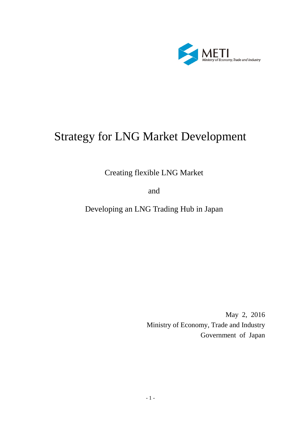

# Strategy for LNG Market Development

Creating flexible LNG Market

and

Developing an LNG Trading Hub in Japan

May 2, 2016 Ministry of Economy, Trade and Industry Government of Japan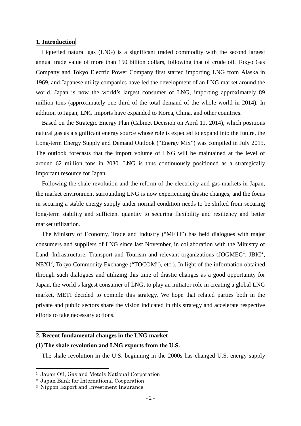#### **1. Introduction**

Liquefied natural gas (LNG) is a significant traded commodity with the second largest annual trade value of more than 150 billion dollars, following that of crude oil. Tokyo Gas Company and Tokyo Electric Power Company first started importing LNG from Alaska in 1969, and Japanese utility companies have led the development of an LNG market around the world. Japan is now the world's largest consumer of LNG, importing approximately 89 million tons (approximately one-third of the total demand of the whole world in 2014). In addition to Japan, LNG imports have expanded to Korea, China, and other countries.

Based on the Strategic Energy Plan (Cabinet Decision on April 11, 2014), which positions natural gas as a significant energy source whose role is expected to expand into the future, the Long-term Energy Supply and Demand Outlook ("Energy Mix") was compiled in July 2015. The outlook forecasts that the import volume of LNG will be maintained at the level of around 62 million tons in 2030. LNG is thus continuously positioned as a strategically important resource for Japan.

Following the shale revolution and the reform of the electricity and gas markets in Japan, the market environment surrounding LNG is now experiencing drastic changes, and the focus in securing a stable energy supply under normal condition needs to be shifted from securing long-term stability and sufficient quantity to securing flexibility and resiliency and better market utilization.

The Ministry of Economy, Trade and Industry ("METI") has held dialogues with major consumers and suppliers of LNG since last November, in collaboration with the Ministry of Land, Infrastructure, Transport and Tourism and relevant organizations (JOGMEC<sup>[1](#page-1-0)</sup>, JBIC<sup>[2](#page-1-1)</sup>, NEXI<sup>[3](#page-1-2)</sup>, Tokyo Commodity Exchange ("TOCOM"), etc.). In light of the information obtained through such dialogues and utilizing this time of drastic changes as a good opportunity for Japan, the world's largest consumer of LNG, to play an initiator role in creating a global LNG market, METI decided to compile this strategy. We hope that related parties both in the private and public sectors share the vision indicated in this strategy and accelerate respective efforts to take necessary actions.

# **2. Recent fundamental changes in the LNG market**

# **(1) The shale revolution and LNG exports from the U.S.**

The shale revolution in the U.S. beginning in the 2000s has changed U.S. energy supply

<span id="page-1-0"></span> <sup>1</sup> Japan Oil, Gas and Metals National Corporation

<span id="page-1-1"></span><sup>2</sup> Japan Bank for International Cooperation

<span id="page-1-2"></span><sup>3</sup> Nippon Export and Investment Insurance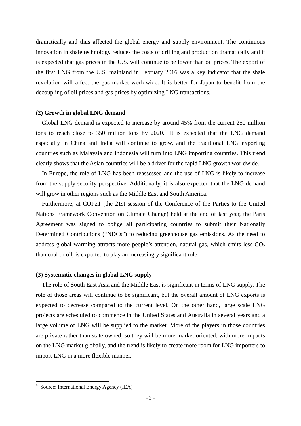dramatically and thus affected the global energy and supply environment. The continuous innovation in shale technology reduces the costs of drilling and production dramatically and it is expected that gas prices in the U.S. will continue to be lower than oil prices. The export of the first LNG from the U.S. mainland in February 2016 was a key indicator that the shale revolution will affect the gas market worldwide. It is better for Japan to benefit from the decoupling of oil prices and gas prices by optimizing LNG transactions.

#### **(2) Growth in global LNG demand**

Global LNG demand is expected to increase by around 45% from the current 250 million tons to reach close to 350 million tons by  $2020<sup>4</sup>$  $2020<sup>4</sup>$  $2020<sup>4</sup>$  It is expected that the LNG demand especially in China and India will continue to grow, and the traditional LNG exporting countries such as Malaysia and Indonesia will turn into LNG importing countries. This trend clearly shows that the Asian countries will be a driver for the rapid LNG growth worldwide.

In Europe, the role of LNG has been reassessed and the use of LNG is likely to increase from the supply security perspective. Additionally, it is also expected that the LNG demand will grow in other regions such as the Middle East and South America.

Furthermore, at COP21 (the 21st session of the Conference of the Parties to the United Nations Framework Convention on Climate Change) held at the end of last year, the Paris Agreement was signed to oblige all participating countries to submit their Nationally Determined Contributions ("NDCs") to reducing greenhouse gas emissions. As the need to address global warming attracts more people's attention, natural gas, which emits less  $CO<sub>2</sub>$ than coal or oil, is expected to play an increasingly significant role.

#### **(3) Systematic changes in global LNG supply**

The role of South East Asia and the Middle East is significant in terms of LNG supply. The role of those areas will continue to be significant, but the overall amount of LNG exports is expected to decrease compared to the current level. On the other hand, large scale LNG projects are scheduled to commence in the United States and Australia in several years and a large volume of LNG will be supplied to the market. More of the players in those countries are private rather than state-owned, so they will be more market-oriented, with more impacts on the LNG market globally, and the trend is likely to create more room for LNG importers to import LNG in a more flexible manner.

<span id="page-2-0"></span><sup>4</sup> Source: International Energy Agency (IEA)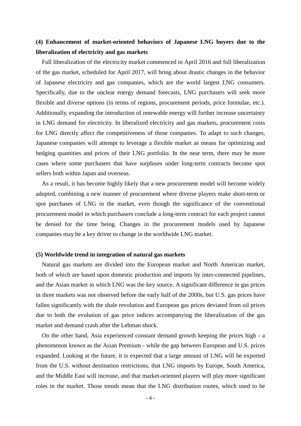# **(4) Enhancement of market-oriented behaviors of Japanese LNG buyers due to the liberalization of electricity and gas markets**

Full liberalization of the electricity market commenced in April 2016 and full liberalization of the gas market, scheduled for April 2017, will bring about drastic changes in the behavior of Japanese electricity and gas companies, which are the world largest LNG consumers. Specifically, due to the unclear energy demand forecasts, LNG purchasers will seek more flexible and diverse options (in terms of regions, procurement periods, price formulae, etc.). Additionally, expanding the introduction of renewable energy will further increase uncertainty in LNG demand for electricity. In liberalized electricity and gas markets, procurement costs for LNG directly affect the competitiveness of those companies. To adapt to such changes, Japanese companies will attempt to leverage a flexible market as means for optimizing and hedging quantities and prices of their LNG portfolio. In the near term, there may be more cases where some purchasers that have surpluses under long-term contracts become spot sellers both within Japan and overseas.

As a result, it has become highly likely that a new procurement model will become widely adopted, combining a new manner of procurement where diverse players make short-term or spot purchases of LNG in the market, even though the significance of the conventional procurement model in which purchasers conclude a long-term contract for each project cannot be denied for the time being. Changes in the procurement models used by Japanese companies may be a key driver to change in the worldwide LNG market.

#### **(5) Worldwide trend in integration of natural gas markets**

Natural gas markets are divided into the European market and North American market, both of which are based upon domestic production and imports by inter-connected pipelines, and the Asian market in which LNG was the key source. A significant difference in gas prices in three markets was not observed before the early half of the 2000s, but U.S. gas prices have fallen significantly with the shale revolution and European gas prices deviated from oil prices due to both the evolution of gas price indices accompanying the liberalization of the gas market and demand crash after the Lehman shock.

On the other hand, Asia experienced constant demand growth keeping the prices high - a phenomenon known as the Asian Premium - while the gap between European and U.S. prices expanded. Looking at the future, it is expected that a large amount of LNG will be exported from the U.S. without destination restrictions, that LNG imports by Europe, South America, and the Middle East will increase, and that market-oriented players will play more significant roles in the market. Those trends mean that the LNG distribution routes, which used to be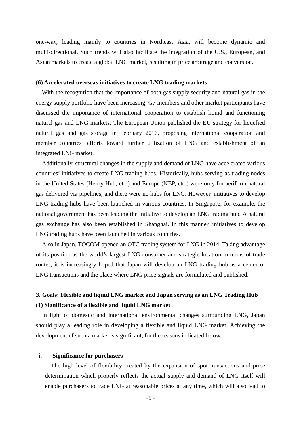one-way, leading mainly to countries in Northeast Asia, will become dynamic and multi-directional. Such trends will also facilitate the integration of the U.S., European, and Asian markets to create a global LNG market, resulting in price arbitrage and conversion.

#### **(6) Accelerated overseas initiatives to create LNG trading markets**

With the recognition that the importance of both gas supply security and natural gas in the energy supply portfolio have been increasing, G7 members and other market participants have discussed the importance of international cooperation to establish liquid and functioning natural gas and LNG markets. The European Union published the EU strategy for liquefied natural gas and gas storage in February 2016, proposing international cooperation and member countries' efforts toward further utilization of LNG and establishment of an integrated LNG market.

Additionally, structural changes in the supply and demand of LNG have accelerated various countries' initiatives to create LNG trading hubs. Historically, hubs serving as trading nodes in the United States (Henry Hub, etc.) and Europe (NBP, etc.) were only for aeriform natural gas delivered via pipelines, and there were no hubs for LNG. However, initiatives to develop LNG trading hubs have been launched in various countries. In Singapore, for example, the national government has been leading the initiative to develop an LNG trading hub. A natural gas exchange has also been established in Shanghai. In this manner, initiatives to develop LNG trading hubs have been launched in various countries.

Also in Japan, TOCOM opened an OTC trading system for LNG in 2014. Taking advantage of its position as the world's largest LNG consumer and strategic location in terms of trade routes, it is increasingly hoped that Japan will develop an LNG trading hub as a center of LNG transactions and the place where LNG price signals are formulated and published.

# **3. Goals: Flexible and liquid LNG market and Japan serving as an LNG Trading Hub (1) Significance of a flexible and liquid LNG market**

In light of domestic and international environmental changes surrounding LNG, Japan should play a leading role in developing a flexible and liquid LNG market. Achieving the development of such a market is significant, for the reasons indicated below.

#### **i. Significance for purchasers**

The high level of flexibility created by the expansion of spot transactions and price determination which properly reflects the actual supply and demand of LNG itself will enable purchasers to trade LNG at reasonable prices at any time, which will also lead to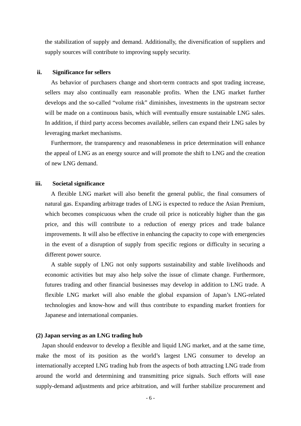the stabilization of supply and demand. Additionally, the diversification of suppliers and supply sources will contribute to improving supply security.

#### **ii. Significance for sellers**

As behavior of purchasers change and short-term contracts and spot trading increase, sellers may also continually earn reasonable profits. When the LNG market further develops and the so-called "volume risk" diminishes, investments in the upstream sector will be made on a continuous basis, which will eventually ensure sustainable LNG sales. In addition, if third party access becomes available, sellers can expand their LNG sales by leveraging market mechanisms.

Furthermore, the transparency and reasonableness in price determination will enhance the appeal of LNG as an energy source and will promote the shift to LNG and the creation of new LNG demand.

#### **iii. Societal significance**

A flexible LNG market will also benefit the general public, the final consumers of natural gas. Expanding arbitrage trades of LNG is expected to reduce the Asian Premium, which becomes conspicuous when the crude oil price is noticeably higher than the gas price, and this will contribute to a reduction of energy prices and trade balance improvements. It will also be effective in enhancing the capacity to cope with emergencies in the event of a disruption of supply from specific regions or difficulty in securing a different power source.

A stable supply of LNG not only supports sustainability and stable livelihoods and economic activities but may also help solve the issue of climate change. Furthermore, futures trading and other financial businesses may develop in addition to LNG trade. A flexible LNG market will also enable the global expansion of Japan's LNG-related technologies and know-how and will thus contribute to expanding market frontiers for Japanese and international companies.

#### **(2) Japan serving as an LNG trading hub**

Japan should endeavor to develop a flexible and liquid LNG market, and at the same time, make the most of its position as the world's largest LNG consumer to develop an internationally accepted LNG trading hub from the aspects of both attracting LNG trade from around the world and determining and transmitting price signals. Such efforts will ease supply-demand adjustments and price arbitration, and will further stabilize procurement and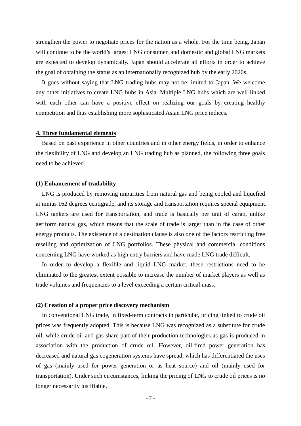strengthen the power to negotiate prices for the nation as a whole. For the time being, Japan will continue to be the world's largest LNG consumer, and domestic and global LNG markets are expected to develop dynamically. Japan should accelerate all efforts in order to achieve the goal of obtaining the status as an internationally recognized hub by the early 2020s.

It goes without saying that LNG trading hubs may not be limited to Japan. We welcome any other initiatives to create LNG hubs in Asia. Multiple LNG hubs which are well linked with each other can have a positive effect on realizing our goals by creating healthy competition and thus establishing more sophisticated Asian LNG price indices.

### **4. Three fundamental elements**

Based on past experience in other countries and in other energy fields, in order to enhance the flexibility of LNG and develop an LNG trading hub as planned, the following three goals need to be achieved.

# **(1) Enhancement of tradability**

LNG is produced by removing impurities from natural gas and being cooled and liquefied at minus 162 degrees centigrade, and its storage and transportation requires special equipment. LNG tankers are used for transportation, and trade is basically per unit of cargo, unlike aeriform natural gas, which means that the scale of trade is larger than in the case of other energy products. The existence of a destination clause is also one of the factors restricting free reselling and optimization of LNG portfolios. These physical and commercial conditions concerning LNG have worked as high entry barriers and have made LNG trade difficult.

In order to develop a flexible and liquid LNG market, these restrictions need to be eliminated to the greatest extent possible to increase the number of market players as well as trade volumes and frequencies to a level exceeding a certain critical mass.

#### **(2) Creation of a proper price discovery mechanism**

In conventional LNG trade, in fixed-term contracts in particular, pricing linked to crude oil prices was frequently adopted. This is because LNG was recognized as a substitute for crude oil, while crude oil and gas share part of their production technologies as gas is produced in association with the production of crude oil. However, oil-fired power generation has decreased and natural gas cogeneration systems have spread, which has differentiated the uses of gas (mainly used for power generation or as heat source) and oil (mainly used for transportation). Under such circumstances, linking the pricing of LNG to crude oil prices is no longer necessarily justifiable.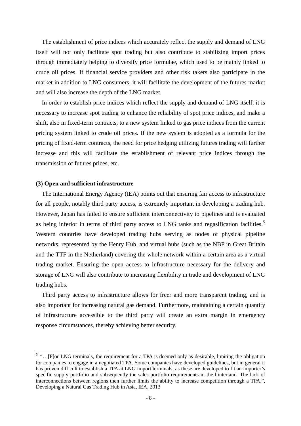The establishment of price indices which accurately reflect the supply and demand of LNG itself will not only facilitate spot trading but also contribute to stabilizing import prices through immediately helping to diversify price formulae, which used to be mainly linked to crude oil prices. If financial service providers and other risk takers also participate in the market in addition to LNG consumers, it will facilitate the development of the futures market and will also increase the depth of the LNG market.

In order to establish price indices which reflect the supply and demand of LNG itself, it is necessary to increase spot trading to enhance the reliability of spot price indices, and make a shift, also in fixed-term contracts, to a new system linked to gas price indices from the current pricing system linked to crude oil prices. If the new system is adopted as a formula for the pricing of fixed-term contracts, the need for price hedging utilizing futures trading will further increase and this will facilitate the establishment of relevant price indices through the transmission of futures prices, etc.

#### **(3) Open and sufficient infrastructure**

The International Energy Agency (IEA) points out that ensuring fair access to infrastructure for all people, notably third party access, is extremely important in developing a trading hub. However, Japan has failed to ensure sufficient interconnectivity to pipelines and is evaluated as being inferior in terms of third party access to LNG tanks and regasification facilities.<sup>[5](#page-7-0)</sup> Western countries have developed trading hubs serving as nodes of physical pipeline networks, represented by the Henry Hub, and virtual hubs (such as the NBP in Great Britain and the TTF in the Netherland) covering the whole network within a certain area as a virtual trading market. Ensuring the open access to infrastructure necessary for the delivery and storage of LNG will also contribute to increasing flexibility in trade and development of LNG trading hubs.

Third party access to infrastructure allows for freer and more transparent trading, and is also important for increasing natural gas demand. Furthermore, maintaining a certain quantity of infrastructure accessible to the third party will create an extra margin in emergency response circumstances, thereby achieving better security.

<span id="page-7-0"></span><sup>5</sup> "…[F]or LNG terminals, the requirement for a TPA is deemed only as desirable, limiting the obligation for companies to engage in a negotiated TPA. Some companies have developed guidelines, but in general it has proven difficult to establish a TPA at LNG import terminals, as these are developed to fit an importer's specific supply portfolio and subsequently the sales portfolio requirements in the hinterland. The lack of interconnections between regions then further limits the ability to increase competition through a TPA.", Developing a Natural Gas Trading Hub in Asia, IEA, 2013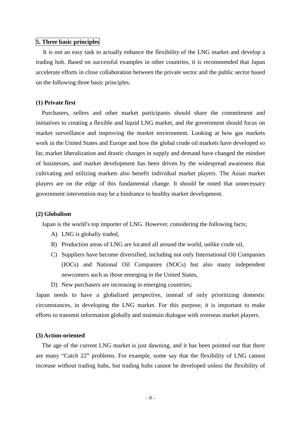# **5. Three basic principles**

It is not an easy task to actually enhance the flexibility of the LNG market and develop a trading hub. Based on successful examples in other countries, it is recommended that Japan accelerate efforts in close collaboration between the private sector and the public sector based on the following three basic principles.

# **(1) Private first**

Purchasers, sellers and other market participants should share the commitment and initiatives to creating a flexible and liquid LNG market, and the government should focus on market surveillance and improving the market environment. Looking at how gas markets work in the United States and Europe and how the global crude oil markets have developed so far, market liberalization and drastic changes in supply and demand have changed the mindset of businesses, and market development has been driven by the widespread awareness that cultivating and utilizing markets also benefit individual market players. The Asian market players are on the edge of this fundamental change. It should be noted that unnecessary government intervention may be a hindrance to healthy market development.

#### **(2) Globalism**

Japan is the world's top importer of LNG. However, considering the following facts;

- A) LNG is globally traded,
- B) Production areas of LNG are located all around the world, unlike crude oil,
- C) Suppliers have become diversified, including not only International Oil Companies (IOCs) and National Oil Companies (NOCs) but also many independent newcomers such as those emerging in the United States,
- D) New purchasers are increasing in emerging countries;

Japan needs to have a globalized perspective, instead of only prioritizing domestic circumstances, in developing the LNG market. For this purpose, it is important to make efforts to transmit information globally and maintain dialogue with overseas market players.

#### **(3) Action-oriented**

The age of the current LNG market is just dawning, and it has been pointed out that there are many "Catch 22" problems. For example, some say that the flexibility of LNG cannot increase without trading hubs, but trading hubs cannot be developed unless the flexibility of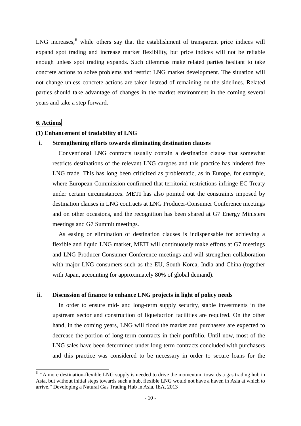LNG increases,<sup>[6](#page-9-0)</sup> while others say that the establishment of transparent price indices will expand spot trading and increase market flexibility, but price indices will not be reliable enough unless spot trading expands. Such dilemmas make related parties hesitant to take concrete actions to solve problems and restrict LNG market development. The situation will not change unless concrete actions are taken instead of remaining on the sidelines. Related parties should take advantage of changes in the market environment in the coming several years and take a step forward.

# **6. Actions**

### **(1) Enhancement of tradability of LNG**

### **i. Strengthening efforts towards eliminating destination clauses**

Conventional LNG contracts usually contain a destination clause that somewhat restricts destinations of the relevant LNG cargoes and this practice has hindered free LNG trade. This has long been criticized as problematic, as in Europe, for example, where European Commission confirmed that territorial restrictions infringe EC Treaty under certain circumstances. METI has also pointed out the constraints imposed by destination clauses in LNG contracts at LNG Producer-Consumer Conference meetings and on other occasions, and the recognition has been shared at G7 Energy Ministers meetings and G7 Summit meetings.

As easing or elimination of destination clauses is indispensable for achieving a flexible and liquid LNG market, METI will continuously make efforts at G7 meetings and LNG Producer-Consumer Conference meetings and will strengthen collaboration with major LNG consumers such as the EU, South Korea, India and China (together with Japan, accounting for approximately 80% of global demand).

# **ii. Discussion of finance to enhance LNG projects in light of policy needs**

In order to ensure mid- and long-term supply security, stable investments in the upstream sector and construction of liquefaction facilities are required. On the other hand, in the coming years, LNG will flood the market and purchasers are expected to decrease the portion of long-term contracts in their portfolio. Until now, most of the LNG sales have been determined under long-term contracts concluded with purchasers and this practice was considered to be necessary in order to secure loans for the

<span id="page-9-0"></span><sup>&</sup>lt;sup>6</sup> "A more destination-flexible LNG supply is needed to drive the momentum towards a gas trading hub in Asia, but without initial steps towards such a hub, flexible LNG would not have a haven in Asia at which to arrive." Developing a Natural Gas Trading Hub in Asia, IEA, 2013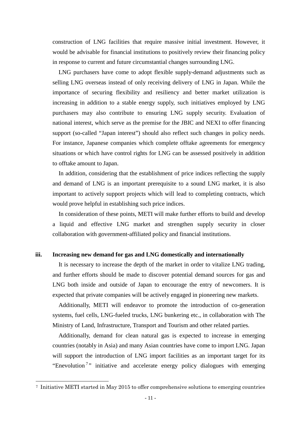construction of LNG facilities that require massive initial investment. However, it would be advisable for financial institutions to positively review their financing policy in response to current and future circumstantial changes surrounding LNG.

LNG purchasers have come to adopt flexible supply-demand adjustments such as selling LNG overseas instead of only receiving delivery of LNG in Japan. While the importance of securing flexibility and resiliency and better market utilization is increasing in addition to a stable energy supply, such initiatives employed by LNG purchasers may also contribute to ensuring LNG supply security. Evaluation of national interest, which serve as the premise for the JBIC and NEXI to offer financing support (so-called "Japan interest") should also reflect such changes in policy needs. For instance, Japanese companies which complete offtake agreements for emergency situations or which have control rights for LNG can be assessed positively in addition to offtake amount to Japan.

In addition, considering that the establishment of price indices reflecting the supply and demand of LNG is an important prerequisite to a sound LNG market, it is also important to actively support projects which will lead to completing contracts, which would prove helpful in establishing such price indices.

In consideration of these points, METI will make further efforts to build and develop a liquid and effective LNG market and strengthen supply security in closer collaboration with government-affiliated policy and financial institutions.

#### **iii. Increasing new demand for gas and LNG domestically and internationally**

It is necessary to increase the depth of the market in order to vitalize LNG trading, and further efforts should be made to discover potential demand sources for gas and LNG both inside and outside of Japan to encourage the entry of newcomers. It is expected that private companies will be actively engaged in pioneering new markets.

Additionally, METI will endeavor to promote the introduction of co-generation systems, fuel cells, LNG-fueled trucks, LNG bunkering etc., in collaboration with The Ministry of Land, Infrastructure, Transport and Tourism and other related parties.

Additionally, demand for clean natural gas is expected to increase in emerging countries (notably in Asia) and many Asian countries have come to import LNG. Japan will support the introduction of LNG import facilities as an important target for its "Enevolution<sup>[7](#page-10-0)</sup>" initiative and accelerate energy policy dialogues with emerging

<span id="page-10-0"></span> <sup>7</sup> Initiative METI started in May 2015 to offer comprehensive solutions to emerging countries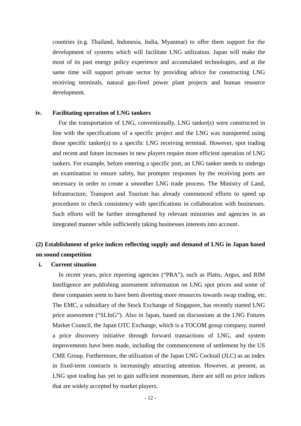countries (e.g. Thailand, Indonesia, India, Myanmar) to offer them support for the development of systems which will facilitate LNG utilization. Japan will make the most of its past energy policy experience and accumulated technologies, and at the same time will support private sector by providing advice for constructing LNG receiving terminals, natural gas-fired power plant projects and human resource development.

#### **iv. Facilitating operation of LNG tankers**

For the transportation of LNG, conventionally, LNG tanker(s) were constructed in line with the specifications of a specific project and the LNG was transported using those specific tanker(s) to a specific LNG receiving terminal. However, spot trading and recent and future increases in new players require more efficient operation of LNG tankers. For example, before entering a specific port, an LNG tanker needs to undergo an examination to ensure safety, but prompter responses by the receiving ports are necessary in order to create a smoother LNG trade process. The Ministry of Land, Infrastructure, Transport and Tourism has already commenced efforts to speed up procedures to check consistency with specifications in collaboration with businesses. Such efforts will be further strengthened by relevant ministries and agencies in an integrated manner while sufficiently taking businesses interests into account.

# **(2) Establishment of price indices reflecting supply and demand of LNG in Japan based on sound competition**

# **i. Current situation**

In recent years, price reporting agencies ("PRA"), such as Platts, Argus, and RIM Intelligence are publishing assessment information on LNG spot prices and some of these companies seem to have been diverting more resources towards swap trading, etc. The EMC, a subsidiary of the Stock Exchange of Singapore, has recently started LNG price assessment ("SLInG"). Also in Japan, based on discussions at the LNG Futures Market Council, the Japan OTC Exchange, which is a TOCOM group company, started a price discovery initiative through forward transactions of LNG, and system improvements have been made, including the commencement of settlement by the US CME Group. Furthermore, the utilization of the Japan LNG Cocktail (JLC) as an index in fixed-term contracts is increasingly attracting attention. However, at present, as LNG spot trading has yet to gain sufficient momentum, there are still no price indices that are widely accepted by market players.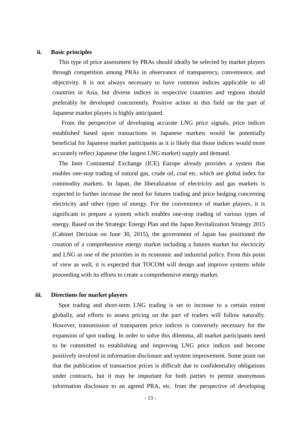#### **ii. Basic principles**

This type of price assessment by PRAs should ideally be selected by market players through competition among PRAs in observance of transparency, convenience, and objectivity. It is not always necessary to have common indices applicable to all countries in Asia, but diverse indices in respective countries and regions should preferably be developed concurrently. Positive action in this field on the part of Japanese market players is highly anticipated.

From the perspective of developing accurate LNG price signals, price indices established based upon transactions in Japanese markets would be potentially beneficial for Japanese market participants as it is likely that those indices would more accurately reflect Japanese (the largest LNG market) supply and demand.

The Inter Continental Exchange (ICE) Europe already provides a system that enables one-stop trading of natural gas, crude oil, coal etc. which are global index for commodity markets. In Japan, the liberalization of electricity and gas markets is expected to further increase the need for futures trading and price hedging concerning electricity and other types of energy. For the convenience of market players, it is significant to prepare a system which enables one-stop trading of various types of energy. Based on the Strategic Energy Plan and the Japan Revitalization Strategy 2015 (Cabinet Decision on June 30, 2015), the government of Japan has positioned the creation of a comprehensive energy market including a futures market for electricity and LNG as one of the priorities in its economic and industrial policy. From this point of view as well, it is expected that TOCOM will design and improve systems while proceeding with its efforts to create a comprehensive energy market.

#### **iii. Directions for market players**

Spot trading and short-term LNG trading is set to increase to a certain extent globally, and efforts to assess pricing on the part of traders will follow naturally. However, transmission of transparent price indices is conversely necessary for the expansion of spot trading. In order to solve this dilemma, all market participants need to be committed to establishing and improving LNG price indices and become positively involved in information disclosure and system improvement. Some point out that the publication of transaction prices is difficult due to confidentiality obligations under contracts, but it may be important for both parties to permit anonymous information disclosure to an agreed PRA, etc. from the perspective of developing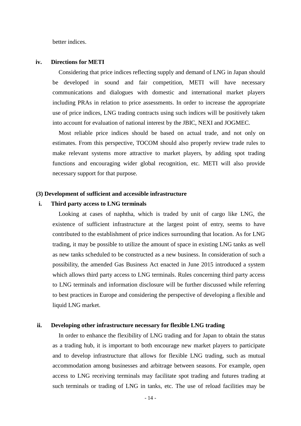better indices.

#### **iv. Directions for METI**

Considering that price indices reflecting supply and demand of LNG in Japan should be developed in sound and fair competition, METI will have necessary communications and dialogues with domestic and international market players including PRAs in relation to price assessments. In order to increase the appropriate use of price indices, LNG trading contracts using such indices will be positively taken into account for evaluation of national interest by the JBIC, NEXI and JOGMEC.

Most reliable price indices should be based on actual trade, and not only on estimates. From this perspective, TOCOM should also properly review trade rules to make relevant systems more attractive to market players, by adding spot trading functions and encouraging wider global recognition, etc. METI will also provide necessary support for that purpose.

#### **(3) Development of sufficient and accessible infrastructure**

#### **i. Third party access to LNG terminals**

Looking at cases of naphtha, which is traded by unit of cargo like LNG, the existence of sufficient infrastructure at the largest point of entry, seems to have contributed to the establishment of price indices surrounding that location. As for LNG trading, it may be possible to utilize the amount of space in existing LNG tanks as well as new tanks scheduled to be constructed as a new business. In consideration of such a possibility, the amended Gas Business Act enacted in June 2015 introduced a system which allows third party access to LNG terminals. Rules concerning third party access to LNG terminals and information disclosure will be further discussed while referring to best practices in Europe and considering the perspective of developing a flexible and liquid LNG market.

#### **ii. Developing other infrastructure necessary for flexible LNG trading**

In order to enhance the flexibility of LNG trading and for Japan to obtain the status as a trading hub, it is important to both encourage new market players to participate and to develop infrastructure that allows for flexible LNG trading, such as mutual accommodation among businesses and arbitrage between seasons. For example, open access to LNG receiving terminals may facilitate spot trading and futures trading at such terminals or trading of LNG in tanks, etc. The use of reload facilities may be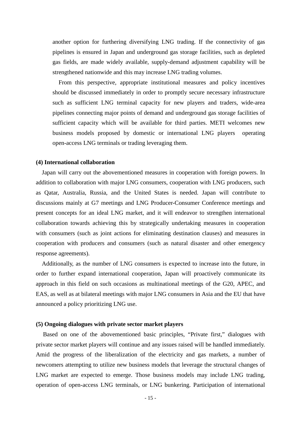another option for furthering diversifying LNG trading. If the connectivity of gas pipelines is ensured in Japan and underground gas storage facilities, such as depleted gas fields, are made widely available, supply-demand adjustment capability will be strengthened nationwide and this may increase LNG trading volumes.

From this perspective, appropriate institutional measures and policy incentives should be discussed immediately in order to promptly secure necessary infrastructure such as sufficient LNG terminal capacity for new players and traders, wide-area pipelines connecting major points of demand and underground gas storage facilities of sufficient capacity which will be available for third parties. METI welcomes new business models proposed by domestic or international LNG players operating open-access LNG terminals or trading leveraging them.

#### **(4) International collaboration**

Japan will carry out the abovementioned measures in cooperation with foreign powers. In addition to collaboration with major LNG consumers, cooperation with LNG producers, such as Qatar, Australia, Russia, and the United States is needed. Japan will contribute to discussions mainly at G7 meetings and LNG Producer-Consumer Conference meetings and present concepts for an ideal LNG market, and it will endeavor to strengthen international collaboration towards achieving this by strategically undertaking measures in cooperation with consumers (such as joint actions for eliminating destination clauses) and measures in cooperation with producers and consumers (such as natural disaster and other emergency response agreements).

Additionally, as the number of LNG consumers is expected to increase into the future, in order to further expand international cooperation, Japan will proactively communicate its approach in this field on such occasions as multinational meetings of the G20, APEC, and EAS, as well as at bilateral meetings with major LNG consumers in Asia and the EU that have announced a policy prioritizing LNG use.

#### **(5) Ongoing dialogues with private sector market players**

Based on one of the abovementioned basic principles, "Private first," dialogues with private sector market players will continue and any issues raised will be handled immediately. Amid the progress of the liberalization of the electricity and gas markets, a number of newcomers attempting to utilize new business models that leverage the structural changes of LNG market are expected to emerge. Those business models may include LNG trading, operation of open-access LNG terminals, or LNG bunkering. Participation of international